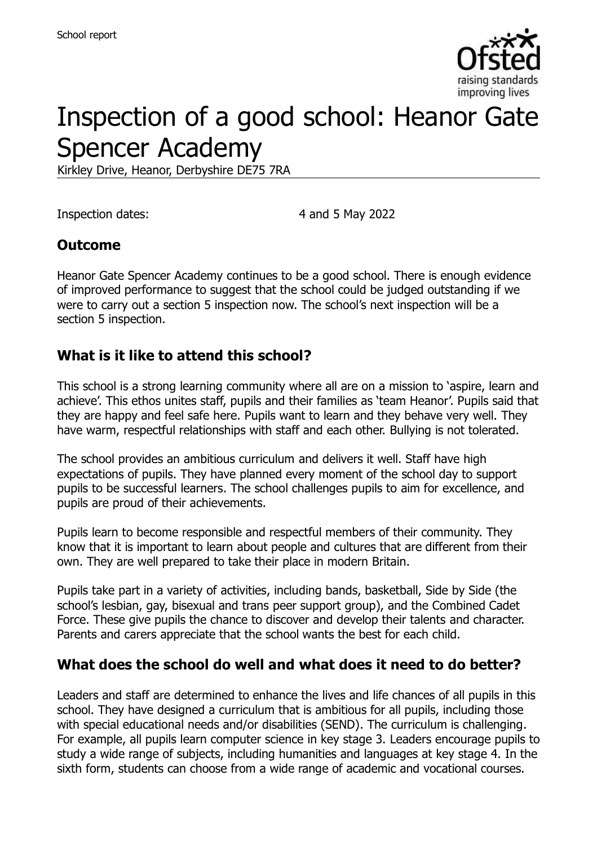

# Inspection of a good school: Heanor Gate Spencer Academy

Kirkley Drive, Heanor, Derbyshire DE75 7RA

Inspection dates: 4 and 5 May 2022

#### **Outcome**

Heanor Gate Spencer Academy continues to be a good school. There is enough evidence of improved performance to suggest that the school could be judged outstanding if we were to carry out a section 5 inspection now. The school's next inspection will be a section 5 inspection.

#### **What is it like to attend this school?**

This school is a strong learning community where all are on a mission to 'aspire, learn and achieve'. This ethos unites staff, pupils and their families as 'team Heanor'. Pupils said that they are happy and feel safe here. Pupils want to learn and they behave very well. They have warm, respectful relationships with staff and each other. Bullying is not tolerated.

The school provides an ambitious curriculum and delivers it well. Staff have high expectations of pupils. They have planned every moment of the school day to support pupils to be successful learners. The school challenges pupils to aim for excellence, and pupils are proud of their achievements.

Pupils learn to become responsible and respectful members of their community. They know that it is important to learn about people and cultures that are different from their own. They are well prepared to take their place in modern Britain.

Pupils take part in a variety of activities, including bands, basketball, Side by Side (the school's lesbian, gay, bisexual and trans peer support group), and the Combined Cadet Force. These give pupils the chance to discover and develop their talents and character. Parents and carers appreciate that the school wants the best for each child.

# **What does the school do well and what does it need to do better?**

Leaders and staff are determined to enhance the lives and life chances of all pupils in this school. They have designed a curriculum that is ambitious for all pupils, including those with special educational needs and/or disabilities (SEND). The curriculum is challenging. For example, all pupils learn computer science in key stage 3. Leaders encourage pupils to study a wide range of subjects, including humanities and languages at key stage 4. In the sixth form, students can choose from a wide range of academic and vocational courses.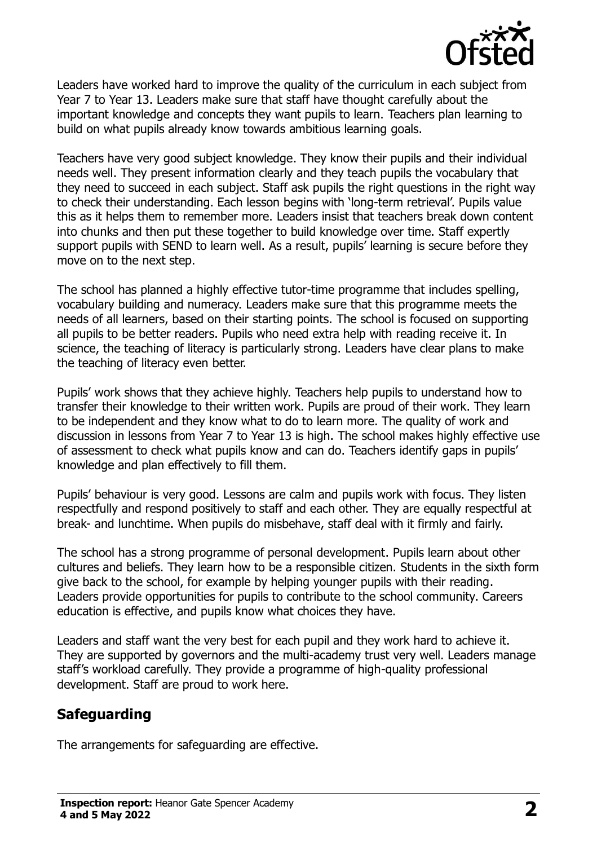

Leaders have worked hard to improve the quality of the curriculum in each subject from Year 7 to Year 13. Leaders make sure that staff have thought carefully about the important knowledge and concepts they want pupils to learn. Teachers plan learning to build on what pupils already know towards ambitious learning goals.

Teachers have very good subject knowledge. They know their pupils and their individual needs well. They present information clearly and they teach pupils the vocabulary that they need to succeed in each subject. Staff ask pupils the right questions in the right way to check their understanding. Each lesson begins with 'long-term retrieval'. Pupils value this as it helps them to remember more. Leaders insist that teachers break down content into chunks and then put these together to build knowledge over time. Staff expertly support pupils with SEND to learn well. As a result, pupils' learning is secure before they move on to the next step.

The school has planned a highly effective tutor-time programme that includes spelling, vocabulary building and numeracy. Leaders make sure that this programme meets the needs of all learners, based on their starting points. The school is focused on supporting all pupils to be better readers. Pupils who need extra help with reading receive it. In science, the teaching of literacy is particularly strong. Leaders have clear plans to make the teaching of literacy even better.

Pupils' work shows that they achieve highly. Teachers help pupils to understand how to transfer their knowledge to their written work. Pupils are proud of their work. They learn to be independent and they know what to do to learn more. The quality of work and discussion in lessons from Year 7 to Year 13 is high. The school makes highly effective use of assessment to check what pupils know and can do. Teachers identify gaps in pupils' knowledge and plan effectively to fill them.

Pupils' behaviour is very good. Lessons are calm and pupils work with focus. They listen respectfully and respond positively to staff and each other. They are equally respectful at break- and lunchtime. When pupils do misbehave, staff deal with it firmly and fairly.

The school has a strong programme of personal development. Pupils learn about other cultures and beliefs. They learn how to be a responsible citizen. Students in the sixth form give back to the school, for example by helping younger pupils with their reading. Leaders provide opportunities for pupils to contribute to the school community. Careers education is effective, and pupils know what choices they have.

Leaders and staff want the very best for each pupil and they work hard to achieve it. They are supported by governors and the multi-academy trust very well. Leaders manage staff's workload carefully. They provide a programme of high-quality professional development. Staff are proud to work here.

# **Safeguarding**

The arrangements for safeguarding are effective.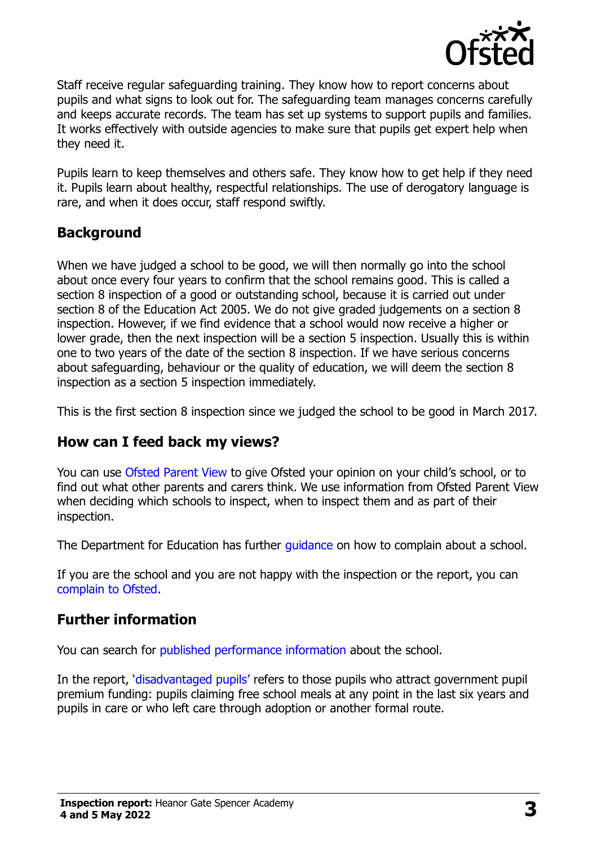

Staff receive regular safeguarding training. They know how to report concerns about pupils and what signs to look out for. The safeguarding team manages concerns carefully and keeps accurate records. The team has set up systems to support pupils and families. It works effectively with outside agencies to make sure that pupils get expert help when they need it.

Pupils learn to keep themselves and others safe. They know how to get help if they need it. Pupils learn about healthy, respectful relationships. The use of derogatory language is rare, and when it does occur, staff respond swiftly.

### **Background**

When we have judged a school to be good, we will then normally go into the school about once every four years to confirm that the school remains good. This is called a section 8 inspection of a good or outstanding school, because it is carried out under section 8 of the Education Act 2005. We do not give graded judgements on a section 8 inspection. However, if we find evidence that a school would now receive a higher or lower grade, then the next inspection will be a section 5 inspection. Usually this is within one to two years of the date of the section 8 inspection. If we have serious concerns about safeguarding, behaviour or the quality of education, we will deem the section 8 inspection as a section 5 inspection immediately.

This is the first section 8 inspection since we judged the school to be good in March 2017.

#### **How can I feed back my views?**

You can use [Ofsted Parent View](https://parentview.ofsted.gov.uk/) to give Ofsted your opinion on your child's school, or to find out what other parents and carers think. We use information from Ofsted Parent View when deciding which schools to inspect, when to inspect them and as part of their inspection.

The Department for Education has further quidance on how to complain about a school.

If you are the school and you are not happy with the inspection or the report, you can [complain to Ofsted.](https://www.gov.uk/complain-ofsted-report)

# **Further information**

You can search for [published performance information](http://www.compare-school-performance.service.gov.uk/) about the school.

In the report, '[disadvantaged pupils](http://www.gov.uk/guidance/pupil-premium-information-for-schools-and-alternative-provision-settings)' refers to those pupils who attract government pupil premium funding: pupils claiming free school meals at any point in the last six years and pupils in care or who left care through adoption or another formal route.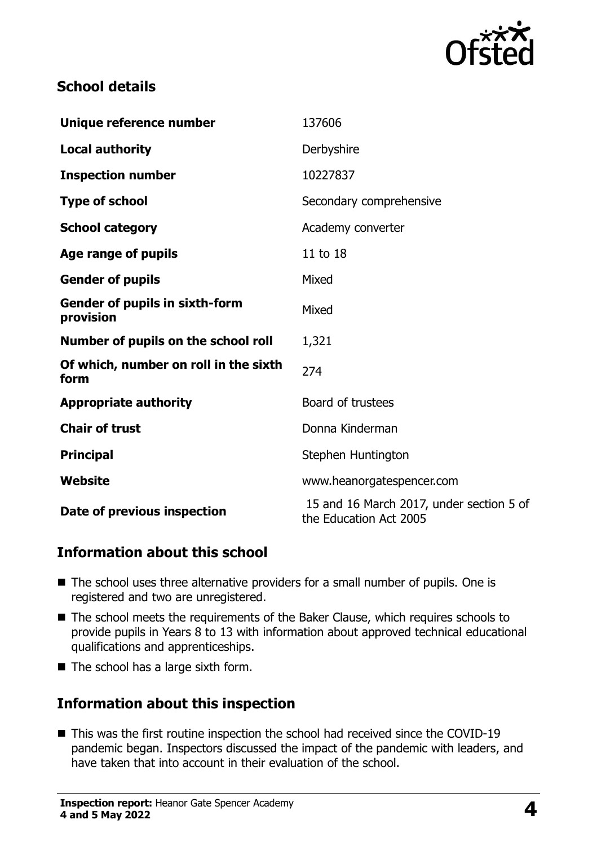

#### **School details**

| Unique reference number                            | 137606                                                             |
|----------------------------------------------------|--------------------------------------------------------------------|
| <b>Local authority</b>                             | Derbyshire                                                         |
| <b>Inspection number</b>                           | 10227837                                                           |
| <b>Type of school</b>                              | Secondary comprehensive                                            |
| <b>School category</b>                             | Academy converter                                                  |
| Age range of pupils                                | 11 to 18                                                           |
| <b>Gender of pupils</b>                            | Mixed                                                              |
| <b>Gender of pupils in sixth-form</b><br>provision | Mixed                                                              |
| Number of pupils on the school roll                | 1,321                                                              |
| Of which, number on roll in the sixth<br>form      | 274                                                                |
| <b>Appropriate authority</b>                       | Board of trustees                                                  |
| <b>Chair of trust</b>                              | Donna Kinderman                                                    |
| <b>Principal</b>                                   | Stephen Huntington                                                 |
| <b>Website</b>                                     | www.heanorgatespencer.com                                          |
| Date of previous inspection                        | 15 and 16 March 2017, under section 5 of<br>the Education Act 2005 |

#### **Information about this school**

- The school uses three alternative providers for a small number of pupils. One is registered and two are unregistered.
- The school meets the requirements of the Baker Clause, which requires schools to provide pupils in Years 8 to 13 with information about approved technical educational qualifications and apprenticeships.
- The school has a large sixth form.

# **Information about this inspection**

■ This was the first routine inspection the school had received since the COVID-19 pandemic began. Inspectors discussed the impact of the pandemic with leaders, and have taken that into account in their evaluation of the school.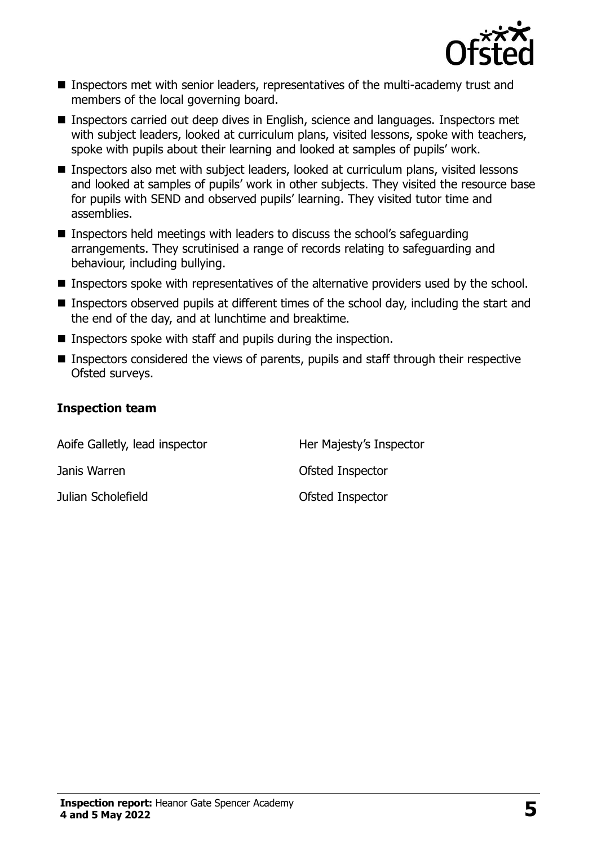

- Inspectors met with senior leaders, representatives of the multi-academy trust and members of the local governing board.
- Inspectors carried out deep dives in English, science and languages. Inspectors met with subject leaders, looked at curriculum plans, visited lessons, spoke with teachers, spoke with pupils about their learning and looked at samples of pupils' work.
- Inspectors also met with subject leaders, looked at curriculum plans, visited lessons and looked at samples of pupils' work in other subjects. They visited the resource base for pupils with SEND and observed pupils' learning. They visited tutor time and assemblies.
- Inspectors held meetings with leaders to discuss the school's safeguarding arrangements. They scrutinised a range of records relating to safeguarding and behaviour, including bullying.
- Inspectors spoke with representatives of the alternative providers used by the school.
- Inspectors observed pupils at different times of the school day, including the start and the end of the day, and at lunchtime and breaktime.
- Inspectors spoke with staff and pupils during the inspection.
- Inspectors considered the views of parents, pupils and staff through their respective Ofsted surveys.

#### **Inspection team**

| Aoife Galletly, lead inspector | Her Majesty's Inspector |  |
|--------------------------------|-------------------------|--|
| Janis Warren                   | Ofsted Inspector        |  |
| Julian Scholefield             | Ofsted Inspector        |  |